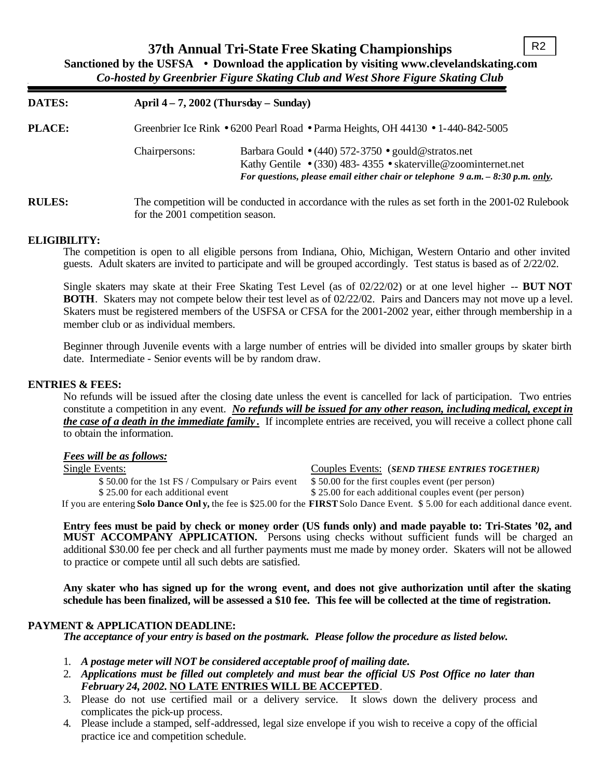| <b>DATES:</b> |                                  | April $4-7$ , 2002 (Thursday – Sunday)                                                                                                                                                                                                    |  |  |
|---------------|----------------------------------|-------------------------------------------------------------------------------------------------------------------------------------------------------------------------------------------------------------------------------------------|--|--|
| <b>PLACE:</b> |                                  | Greenbrier Ice Rink • 6200 Pearl Road • Parma Heights, OH 44130 • 1-440-842-5005                                                                                                                                                          |  |  |
|               | Chairpersons:                    | Barbara Gould $\bullet$ (440) 572-3750 $\bullet$ gould @ stratos.net<br>Kathy Gentile $\bullet$ (330) 483-4355 $\bullet$ skaterville@zoominternet.net<br>For questions, please email either chair or telephone $9 a.m. - 8:30 p.m.$ only. |  |  |
| <b>RULES:</b> | for the 2001 competition season. | The competition will be conducted in accordance with the rules as set forth in the 2001-02 Rulebook                                                                                                                                       |  |  |

### **ELIGIBILITY:**

The competition is open to all eligible persons from Indiana, Ohio, Michigan, Western Ontario and other invited guests. Adult skaters are invited to participate and will be grouped accordingly. Test status is based as of 2/22/02.

Single skaters may skate at their Free Skating Test Level (as of 02/22/02) or at one level higher -- **BUT NOT BOTH**. Skaters may not compete below their test level as of 02/22/02. Pairs and Dancers may not move up a level. Skaters must be registered members of the USFSA or CFSA for the 2001-2002 year, either through membership in a member club or as individual members.

Beginner through Juvenile events with a large number of entries will be divided into smaller groups by skater birth date. Intermediate - Senior events will be by random draw.

### **ENTRIES & FEES:**

No refunds will be issued after the closing date unless the event is cancelled for lack of participation. Two entries constitute a competition in any event. *No refunds will be issued for any other reason, including medical, except in the case of a death in the immediate family* **.** If incomplete entries are received, you will receive a collect phone call to obtain the information.

### *Fees will be as follows:*

Single Events: Couples Events: (*SEND THESE ENTRIES TOGETHER)* \$ 50.00 for the 1st FS / Compulsary or Pairs event \$ 50.00 for the first couples event (per person) \$25.00 for each additional event \$25.00 for each additional couples event (per person)

If you are entering **Solo Dance Onl y,** the fee is \$25.00 for the **FIRST** Solo Dance Event. \$ 5.00 for each additional dance event.

**Entry fees must be paid by check or money order (US funds only) and made payable to: Tri-States '02, and MUST ACCOMPANY APPLICATION.** Persons using checks without sufficient funds will be charged an additional \$30.00 fee per check and all further payments must me made by money order. Skaters will not be allowed to practice or compete until all such debts are satisfied.

**Any skater who has signed up for the wrong event, and does not give authorization until after the skating schedule has been finalized, will be assessed a \$10 fee. This fee will be collected at the time of registration.**

### **PAYMENT & APPLICATION DEADLINE:**

*The acceptance of your entry is based on the postmark. Please follow the procedure as listed below.*

- 1. *A postage meter will NOT be considered acceptable proof of mailing date.*
- 2. *Applications must be filled out completely and must bear the official US Post Office no later than February 24, 2002.* **NO LATE ENTRIES WILL BE ACCEPTED**.
- 3. Please do not use certified mail or a delivery service. It slows down the delivery process and complicates the pick-up process.
- 4. Please include a stamped, self-addressed, legal size envelope if you wish to receive a copy of the official practice ice and competition schedule.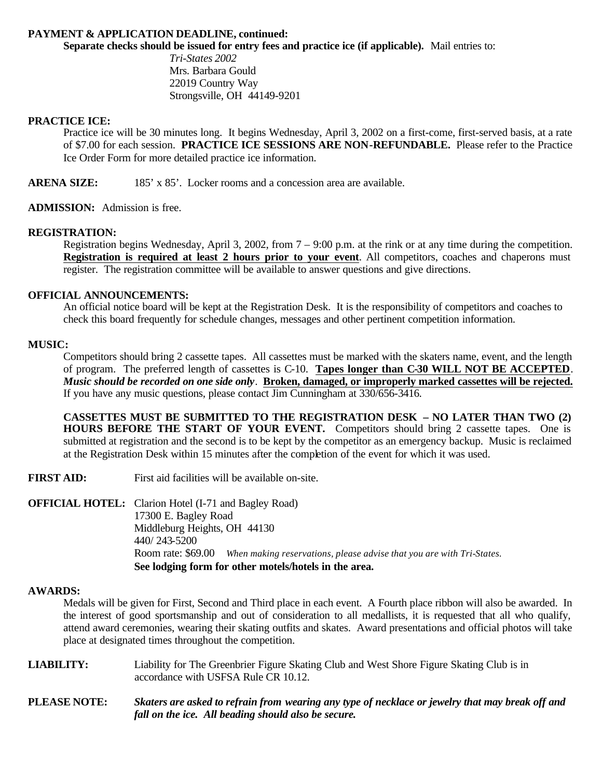## **PAYMENT & APPLICATION DEADLINE, continued:**

**Separate checks should be issued for entry fees and practice ice (if applicable).** Mail entries to:

*Tri-States 2002* Mrs. Barbara Gould 22019 Country Way Strongsville, OH 44149-9201

### **PRACTICE ICE:**

Practice ice will be 30 minutes long. It begins Wednesday, April 3, 2002 on a first-come, first-served basis, at a rate of \$7.00 for each session. **PRACTICE ICE SESSIONS ARE NON-REFUNDABLE.** Please refer to the Practice Ice Order Form for more detailed practice ice information.

ARENA SIZE: 185' x 85'. Locker rooms and a concession area are available.

**ADMISSION:** Admission is free.

### **REGISTRATION:**

Registration begins Wednesday, April 3, 2002, from 7 – 9:00 p.m. at the rink or at any time during the competition. **Registration is required at least 2 hours prior to your event.** All competitors, coaches and chaperons must register. The registration committee will be available to answer questions and give directions.

### **OFFICIAL ANNOUNCEMENTS:**

An official notice board will be kept at the Registration Desk. It is the responsibility of competitors and coaches to check this board frequently for schedule changes, messages and other pertinent competition information.

### **MUSIC:**

Competitors should bring 2 cassette tapes. All cassettes must be marked with the skaters name, event, and the length of program. The preferred length of cassettes is C-10. **Tapes longer than C-30 WILL NOT BE ACCEPTED**. *Music should be recorded on one side only*. **Broken, damaged, or improperly marked cassettes will be rejected.** If you have any music questions, please contact Jim Cunningham at 330/656-3416.

**CASSETTES MUST BE SUBMITTED TO THE REGISTRATION DESK – NO LATER THAN TWO (2) HOURS BEFORE THE START OF YOUR EVENT.** Competitors should bring 2 cassette tapes. One is submitted at registration and the second is to be kept by the competitor as an emergency backup. Music is reclaimed at the Registration Desk within 15 minutes after the completion of the event for which it was used.

**FIRST AID:** First aid facilities will be available on-site.

**OFFICIAL HOTEL:** Clarion Hotel (I-71 and Bagley Road) 17300 E. Bagley Road Middleburg Heights, OH 44130 440/ 243-5200 Room rate: \$69.00 *When making reservations, please advise that you are with Tri-States.* **See lodging form for other motels/hotels in the area.**

### **AWARDS:**

Medals will be given for First, Second and Third place in each event. A Fourth place ribbon will also be awarded. In the interest of good sportsmanship and out of consideration to all medallists, it is requested that all who qualify, attend award ceremonies, wearing their skating outfits and skates. Award presentations and official photos will take place at designated times throughout the competition.

**LIABILITY:** Liability for The Greenbrier Figure Skating Club and West Shore Figure Skating Club is in accordance with USFSA Rule CR 10.12.

**PLEASE NOTE:** *Skaters are asked to refrain from wearing any type of necklace or jewelry that may break off and fall on the ice. All beading should also be secure.*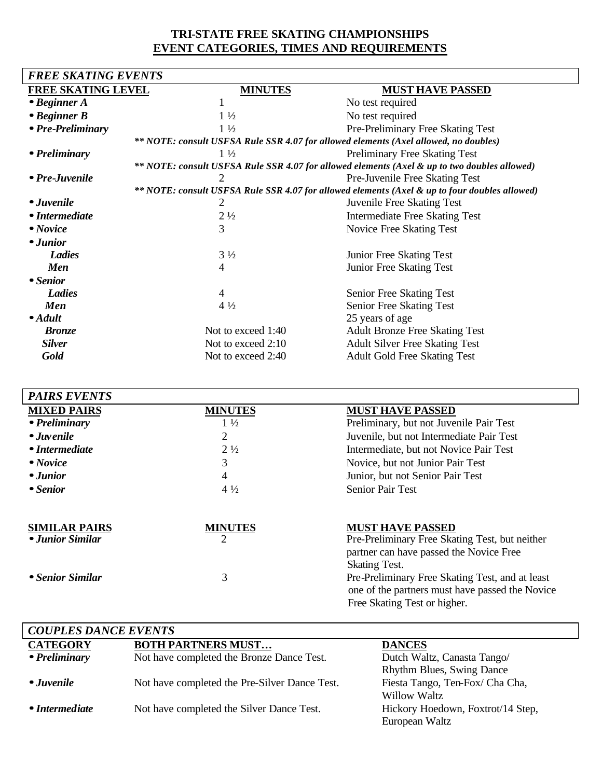# **TRI-STATE FREE SKATING CHAMPIONSHIPS EVENT CATEGORIES, TIMES AND REQUIREMENTS**

| <b>FREE SKATING EVENTS</b> |                    |                                                                                               |  |  |  |
|----------------------------|--------------------|-----------------------------------------------------------------------------------------------|--|--|--|
| <b>FREE SKATING LEVEL</b>  | <b>MINUTES</b>     | <b>MUST HAVE PASSED</b>                                                                       |  |  |  |
| $\bullet$ Beginner A       |                    | No test required                                                                              |  |  |  |
| $\cdot$ Beginner B         | $1\frac{1}{2}$     | No test required                                                                              |  |  |  |
| • Pre-Preliminary          | $1\frac{1}{2}$     | Pre-Preliminary Free Skating Test                                                             |  |  |  |
|                            |                    | ** NOTE: consult USFSA Rule SSR 4.07 for allowed elements (Axel allowed, no doubles)          |  |  |  |
| • Preliminary              | $1\frac{1}{2}$     | <b>Preliminary Free Skating Test</b>                                                          |  |  |  |
|                            |                    | ** NOTE: consult USFSA Rule SSR 4.07 for allowed elements (Axel & up to two doubles allowed)  |  |  |  |
| • Pre-Juvenile             | 2                  | Pre-Juvenile Free Skating Test                                                                |  |  |  |
|                            |                    | ** NOTE: consult USFSA Rule SSR 4.07 for allowed elements (Axel & up to four doubles allowed) |  |  |  |
| • Juvenile                 | 2                  | Juvenile Free Skating Test                                                                    |  |  |  |
| • Intermediate             | $2\frac{1}{2}$     | <b>Intermediate Free Skating Test</b>                                                         |  |  |  |
| • Novice                   | 3                  | Novice Free Skating Test                                                                      |  |  |  |
| - Junior                   |                    |                                                                                               |  |  |  |
| Ladies                     | $3\frac{1}{2}$     | Junior Free Skating Test                                                                      |  |  |  |
| <b>Men</b>                 | 4                  | Junior Free Skating Test                                                                      |  |  |  |
| • Senior                   |                    |                                                                                               |  |  |  |
| Ladies                     | 4                  | Senior Free Skating Test                                                                      |  |  |  |
| Men                        | $4\frac{1}{2}$     | Senior Free Skating Test                                                                      |  |  |  |
| $\bullet$ Adult            |                    | 25 years of age                                                                               |  |  |  |
| <b>Bronze</b>              | Not to exceed 1:40 | <b>Adult Bronze Free Skating Test</b>                                                         |  |  |  |
| <b>Silver</b>              | Not to exceed 2:10 | <b>Adult Silver Free Skating Test</b>                                                         |  |  |  |
| Gold                       | Not to exceed 2:40 | <b>Adult Gold Free Skating Test</b>                                                           |  |  |  |

| <b>PAIRS EVENTS</b>  |                |                                                 |
|----------------------|----------------|-------------------------------------------------|
| <b>MIXED PAIRS</b>   | <b>MINUTES</b> | <b>MUST HAVE PASSED</b>                         |
| • Preliminary        | $1\frac{1}{2}$ | Preliminary, but not Juvenile Pair Test         |
| • Juvenile           | 2              | Juvenile, but not Intermediate Pair Test        |
| • Intermediate       | $2\frac{1}{2}$ | Intermediate, but not Novice Pair Test          |
| • Novice             | 3              | Novice, but not Junior Pair Test                |
| • Junior             | 4              | Junior, but not Senior Pair Test                |
| • Senior             | $4\frac{1}{2}$ | <b>Senior Pair Test</b>                         |
|                      |                |                                                 |
| <b>SIMILAR PAIRS</b> | <b>MINUTES</b> | <b>MUST HAVE PASSED</b>                         |
| • Junior Similar     |                | Pre-Preliminary Free Skating Test, but neither  |
|                      |                | partner can have passed the Novice Free         |
|                      |                | <b>Skating Test.</b>                            |
| • Senior Similar     | 3              | Pre-Preliminary Free Skating Test, and at least |
|                      |                | one of the partners must have passed the Novice |
|                      |                | Free Skating Test or higher.                    |

| <b>COUPLES DANCE EVENTS</b> |                                               |                                   |  |  |
|-----------------------------|-----------------------------------------------|-----------------------------------|--|--|
| <b>CATEGORY</b>             | <b>BOTH PARTNERS MUST</b>                     | <b>DANCES</b>                     |  |  |
| • Preliminary               | Not have completed the Bronze Dance Test.     | Dutch Waltz, Canasta Tango/       |  |  |
|                             |                                               | <b>Rhythm Blues, Swing Dance</b>  |  |  |
| • Juvenile                  | Not have completed the Pre-Silver Dance Test. | Fiesta Tango, Ten-Fox/ Cha Cha,   |  |  |
|                             |                                               | <b>Willow Waltz</b>               |  |  |
| • Intermediate              | Not have completed the Silver Dance Test.     | Hickory Hoedown, Foxtrot/14 Step, |  |  |
|                             |                                               | European Waltz                    |  |  |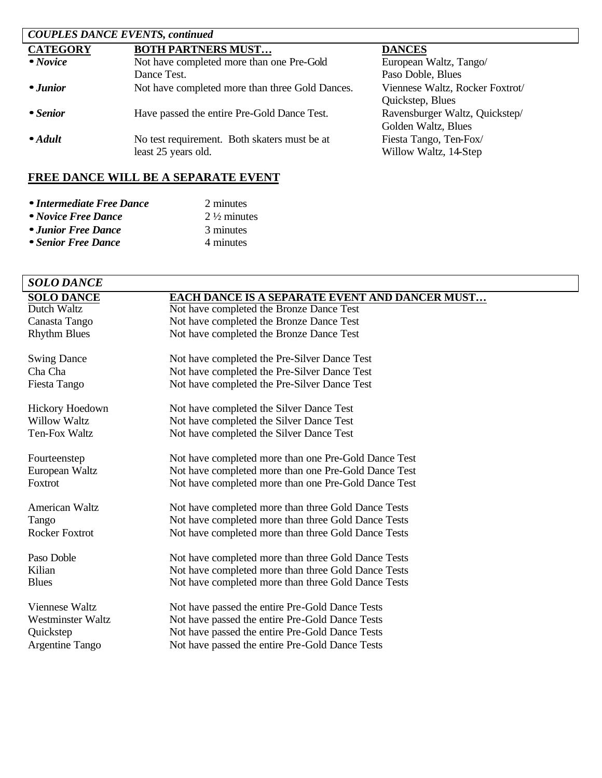| <b>COUPLES DANCE EVENTS, continued</b> |                                                 |                                 |  |  |
|----------------------------------------|-------------------------------------------------|---------------------------------|--|--|
| <b>CATEGORY</b>                        | <b>BOTH PARTNERS MUST</b>                       | <b>DANCES</b>                   |  |  |
| $\bullet$ Novice                       | Not have completed more than one Pre-Gold       | European Waltz, Tango/          |  |  |
|                                        | Dance Test.                                     | Paso Doble, Blues               |  |  |
| • Junior                               | Not have completed more than three Gold Dances. | Viennese Waltz, Rocker Foxtrot/ |  |  |
|                                        |                                                 | Quickstep, Blues                |  |  |
| • Senior                               | Have passed the entire Pre-Gold Dance Test.     | Ravensburger Waltz, Quickstep/  |  |  |
|                                        |                                                 | Golden Waltz, Blues             |  |  |
| $\bullet$ Adult                        | No test requirement. Both skaters must be at    | Fiesta Tango, Ten-Fox/          |  |  |
|                                        | least 25 years old.                             | Willow Waltz, 14-Step           |  |  |

# **FREE DANCE WILL BE A SEPARATE EVENT**

| • Intermediate Free Dance | 2 minutes              |
|---------------------------|------------------------|
| • Novice Free Dance       | $2\frac{1}{2}$ minutes |
| • Junior Free Dance       | 3 minutes              |
| • Senior Free Dance       | 4 minutes              |

| <b>SOLO DANCE</b>        |                                                      |
|--------------------------|------------------------------------------------------|
| <b>SOLO DANCE</b>        | EACH DANCE IS A SEPARATE EVENT AND DANCER MUST       |
| Dutch Waltz              | Not have completed the Bronze Dance Test             |
| Canasta Tango            | Not have completed the Bronze Dance Test             |
| <b>Rhythm Blues</b>      | Not have completed the Bronze Dance Test             |
| <b>Swing Dance</b>       | Not have completed the Pre-Silver Dance Test         |
| Cha Cha                  | Not have completed the Pre-Silver Dance Test         |
| Fiesta Tango             | Not have completed the Pre-Silver Dance Test         |
| Hickory Hoedown          | Not have completed the Silver Dance Test             |
| <b>Willow Waltz</b>      | Not have completed the Silver Dance Test             |
| Ten-Fox Waltz            | Not have completed the Silver Dance Test             |
| Fourteenstep             | Not have completed more than one Pre-Gold Dance Test |
| European Waltz           | Not have completed more than one Pre-Gold Dance Test |
| Foxtrot                  | Not have completed more than one Pre-Gold Dance Test |
| <b>American Waltz</b>    | Not have completed more than three Gold Dance Tests  |
| Tango                    | Not have completed more than three Gold Dance Tests  |
| <b>Rocker Foxtrot</b>    | Not have completed more than three Gold Dance Tests  |
| Paso Doble               | Not have completed more than three Gold Dance Tests  |
| Kilian                   | Not have completed more than three Gold Dance Tests  |
| <b>Blues</b>             | Not have completed more than three Gold Dance Tests  |
| Viennese Waltz           | Not have passed the entire Pre-Gold Dance Tests      |
| <b>Westminster Waltz</b> | Not have passed the entire Pre-Gold Dance Tests      |
| Quickstep                | Not have passed the entire Pre-Gold Dance Tests      |
| Argentine Tango          | Not have passed the entire Pre-Gold Dance Tests      |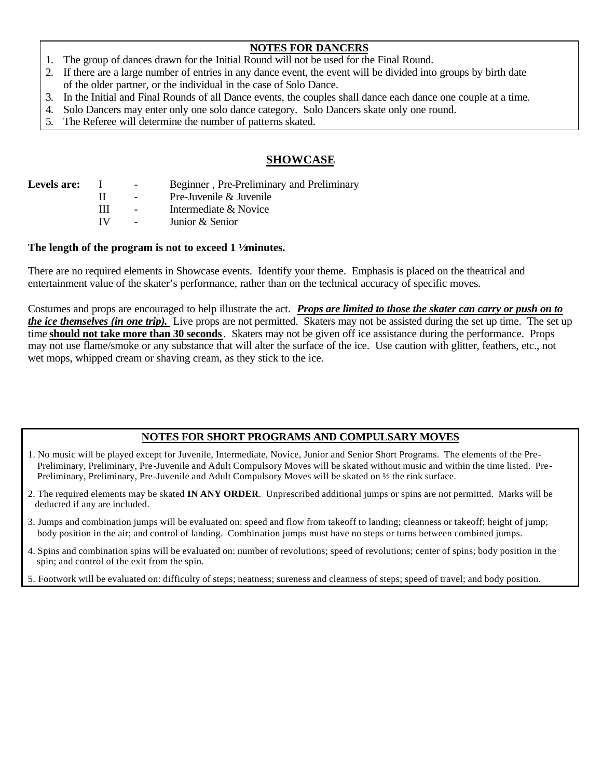# **NOTES FOR DANCERS**

- 1. The group of dances drawn for the Initial Round will not be used for the Final Round.
- 2. If there are a large number of entries in any dance event, the event will be divided into groups by birth date of the older partner, or the individual in the case of Solo Dance.
- 3. In the Initial and Final Rounds of all Dance events, the couples shall dance each dance one couple at a time.
- 4. Solo Dancers may enter only one solo dance category. Solo Dancers skate only one round.
- 5. The Referee will determine the number of patterns skated.

# **SHOWCASE**

| <b>Levels are:</b> |    | $\sim$ | Beginner, Pre-Preliminary and Preliminary |
|--------------------|----|--------|-------------------------------------------|
|                    |    |        | Pre-Juvenile & Juvenile                   |
|                    | Ш  |        | Intermediate & Novice                     |
|                    | TV |        | Junior & Senior                           |
|                    |    |        |                                           |

## **The length of the program is not to exceed 1 ½ minutes.**

There are no required elements in Showcase events. Identify your theme. Emphasis is placed on the theatrical and entertainment value of the skater's performance, rather than on the technical accuracy of specific moves.

Costumes and props are encouraged to help illustrate the act. *Props are limited to those the skater can carry or push on to the ice themselves (in one trip).* Live props are not permitted. Skaters may not be assisted during the set up time. The set up time **should not take more than 30 seconds**. Skaters may not be given off ice assistance during the performance. Props may not use flame/smoke or any substance that will alter the surface of the ice. Use caution with glitter, feathers, etc., not wet mops, whipped cream or shaving cream, as they stick to the ice.

# **NOTES FOR SHORT PROGRAMS AND COMPULSARY MOVES**

- 1. No music will be played except for Juvenile, Intermediate, Novice, Junior and Senior Short Programs. The elements of the Pre- Preliminary, Preliminary, Pre-Juvenile and Adult Compulsory Moves will be skated without music and within the time listed. Pre- Preliminary, Preliminary, Pre-Juvenile and Adult Compulsory Moves will be skated on ½ the rink surface.
- 2. The required elements may be skated **IN ANY ORDER**. Unprescribed additional jumps or spins are not permitted. Marks will be deducted if any are included.
- 3. Jumps and combination jumps will be evaluated on: speed and flow from takeoff to landing; cleanness or takeoff; height of jump; body position in the air; and control of landing. Combination jumps must have no steps or turns between combined jumps.
- 4. Spins and combination spins will be evaluated on: number of revolutions; speed of revolutions; center of spins; body position in the spin; and control of the exit from the spin.
- 5. Footwork will be evaluated on: difficulty of steps; neatness; sureness and cleanness of steps; speed of travel; and body position.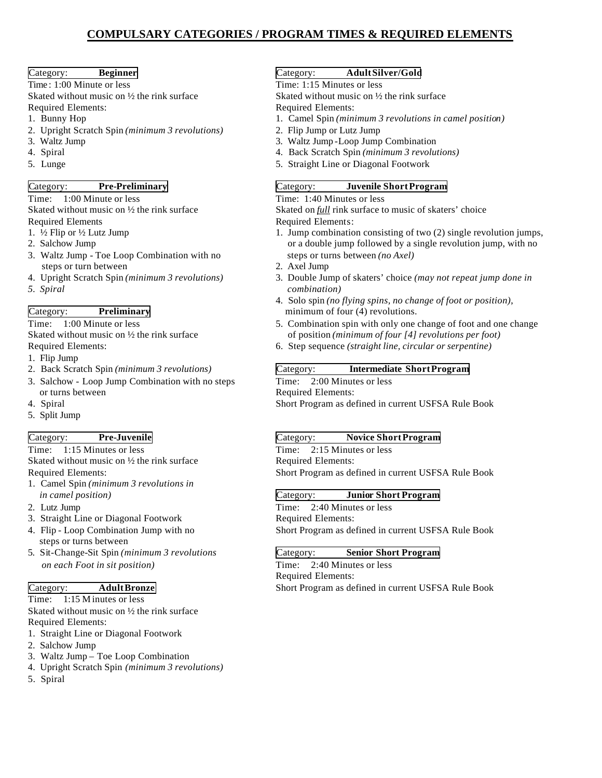# **COMPULSARY CATEGORIES / PROGRAM TIMES & REQUIRED ELEMENTS**

Time: 1:00 Minute or less Time: 1:15 Minutes or less

Skated without music on  $\frac{1}{2}$  the rink surface<br>Required Elements:<br>Required Elements: Required Elements:<br>1. Bunny Hop

- 
- 2. Upright Scratch Spin *(minimum 3 revolutions)* 2. Flip Jump or Lutz Jump 3. Waltz Jump Loop Jump 2. Flip Jump 2. Waltz Jump 2. Waltz Jump 2. Waltz Jump 2. Waltz Jump 2. Waltz Jump 2. Waltz Jump 2. Waltz Jump 2. Waltz Ju
- 
- 
- 

Time: 1:00 Minute or less Time: 1:40 Minutes or less

Required Elements<br>
1.  $\frac{1}{2}$  Flip or  $\frac{1}{2}$  Lutz Jump<br>
1. Jump combination

- 
- 
- 3. Waltz Jump Toe Loop Combination with no steps or turn between 2. Axel Jump<br>4. Upright Scratch Spin (*minimum 3 revolutions*) 3. Double Jump
- 
- 

Skated without music on <sup>1</sup>/<sub>2</sub> the rink surface of position *(minimum of four [4] revolutions per foot*)<br> **6.** Step sequence *(straight line, circular or serpentine)* 

- 1. Flip Jump
- 
- 3. Salchow Loop Jump Combination with no steps Time: 2:00 Minutes or less or turns between Required Elements:
- 
- 5. Split Jump

Time: 1:15 Minutes or less<br>Skated without music on  $\frac{1}{2}$  the rink surface<br>Required Elements: Skated without music on  $\frac{1}{2}$  the rink surface

- 1. Camel Spin *(minimum 3 revolutions in*
- 
- 3. Straight Line or Diagonal Footwork<br>4. Flip Loop Combination Jump with no
- steps or turns between
- 5. Sit-Change-Sit Spin *(minimum 3 revolutions* Category: **Senior Short Program**  *on each Foot in sit position)* Time: 2:40 Minutes or less

Time: 1:15 Minutes or less Skated without music on ½ the rink surface

Required Elements:

- 1. Straight Line or Diagonal Footwork
- 2. Salchow Jump
- 3. Waltz Jump Toe Loop Combination
- 4. Upright Scratch Spin *(minimum 3 revolutions)*
- 5. Spiral

## Category: **Beginner** Category: **AdultSilver/Gold**

- 1. Camel Spin *(minimum 3 revolutions in camel position)*
- 
- 3. Waltz Jump -Loop Jump Combination
- 4. Spiral 4. Back Scratch Spin *(minimum 3 revolutions)*
- 5. Lunge 5. Straight Line or Diagonal Footwork

## Category: **Pre-Preliminary** Category: **Juvenile ShortProgram**

Skated without music on  $\frac{1}{2}$  the rink surface Skated on *full* rink surface to music of skaters' choice

- 1. <sup>1</sup>/<sub>2</sub> Flip or <sup>1</sup>/<sub>2</sub> Lutz Jump 1. Jump combination consisting of two (2) single revolution jumps,<br>2. Salchow Jump combination consisting of two (2) single revolution jumps,<br>3. Salchow Jump or a double jump followed by a single revolution jump, with no steps or turns between (no Axel)
	-
- 4. Upright Scratch Spin *(minimum 3 revolutions)* 3. Double Jump of skaters' choice *(may not repeat jump done in 5. Spiral combination)*
- 4. Solo spin *(no flying spins, no change of foot or position)*, Category: **Preliminary** minimum of four (4) revolutions.
- Time: 1:00 Minute or less 5. Combination spin with only one change of foot and one change<br>Skated without music on  $\frac{1}{2}$  the rink surface of position (minimum of four [4] revolutions per foot)
	- 6. Step sequence (straight line, circular or serpentine)

### 2. Back Scratch Spin *(minimum 3 revolutions)* Category: **Intermediate ShortProgram**

4. Spiral Short Program as defined in current USFSA Rule Book

### Category: **Pre-Juvenile** Category: **Novice ShortProgram**

Required Elements: Short Program as defined in current USFSA Rule Book

### *in camel position)* Category: **Junior Short Program**

2. Lutz Jump<br>
2. Lutz Jump<br>
2. Straight Line or Diagonal Footwork<br>
2. Required Elements: Short Program as defined in current USFSA Rule Book

Required Elements: Category: **Adult Bronze Short Program as defined in current USFSA Rule Book**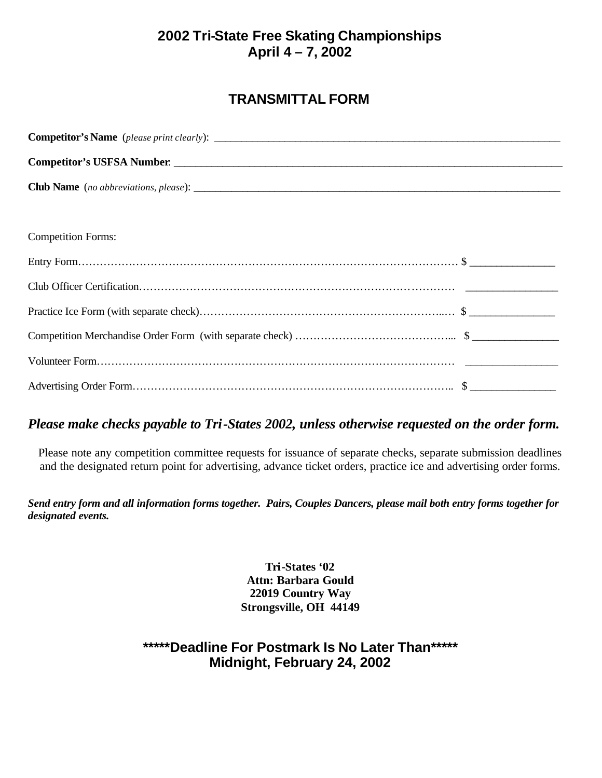# **TRANSMITTAL FORM**

| Competitor's USFSA Number. |  |  |  |  |
|----------------------------|--|--|--|--|
|                            |  |  |  |  |
|                            |  |  |  |  |
| <b>Competition Forms:</b>  |  |  |  |  |
|                            |  |  |  |  |
|                            |  |  |  |  |
|                            |  |  |  |  |
|                            |  |  |  |  |
|                            |  |  |  |  |
|                            |  |  |  |  |

# *Please make checks payable to Tri-States 2002, unless otherwise requested on the order form.*

Please note any competition committee requests for issuance of separate checks, separate submission deadlines and the designated return point for advertising, advance ticket orders, practice ice and advertising order forms.

*Send entry form and all information forms together. Pairs, Couples Dancers, please mail both entry forms together for designated events.* 

> **Tri-States '02 Attn: Barbara Gould 22019 Country Way Strongsville, OH 44149**

# **\*\*\*\*\*Deadline For Postmark Is No Later Than\*\*\*\*\* Midnight, February 24, 2002**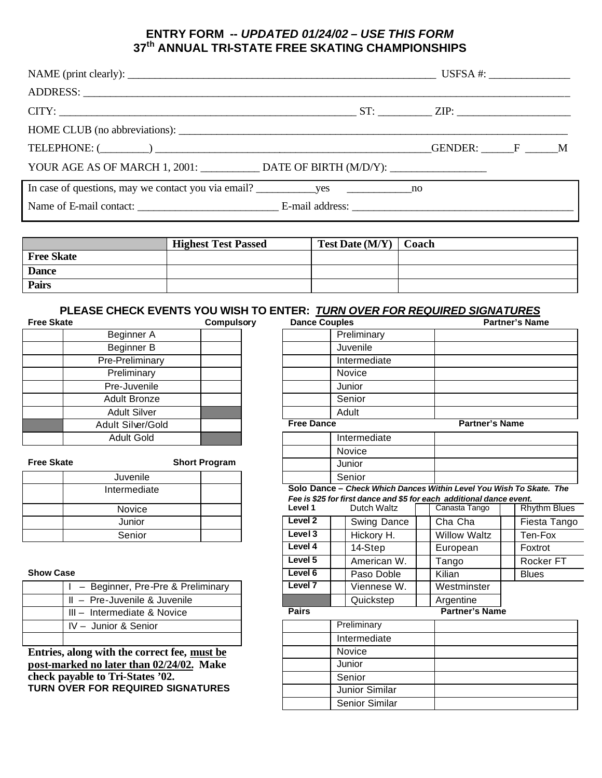# **ENTRY FORM --** *UPDATED 01/24/02 – USE THIS FORM* **37th ANNUAL TRI-STATE FREE SKATING CHAMPIONSHIPS**

| YOUR AGE AS OF MARCH 1, 2001: ______________ DATE OF BIRTH (M/D/Y): _____________ |  |  |
|-----------------------------------------------------------------------------------|--|--|
|                                                                                   |  |  |
|                                                                                   |  |  |
|                                                                                   |  |  |

|                   | <b>Highest Test Passed</b> | Test Date (M/Y) | Coach |
|-------------------|----------------------------|-----------------|-------|
| <b>Free Skate</b> |                            |                 |       |
| <b>Dance</b>      |                            |                 |       |
| <b>Pairs</b>      |                            |                 |       |

### **PLEASE CHECK EVENTS YOU WISH TO ENTER:** *TURN OVER FOR REQUIRED SIGNATURES*

| <b>Free Skate</b> |                     | Compulsory | Dance Couples     |  |
|-------------------|---------------------|------------|-------------------|--|
|                   | Beginner A          |            | Preliminary       |  |
|                   | Beginner B          |            | Juvenile          |  |
|                   | Pre-Preliminary     |            | Intermediate      |  |
|                   | Preliminary         |            | <b>Novice</b>     |  |
|                   | Pre-Juvenile        |            | Junior            |  |
|                   | <b>Adult Bronze</b> |            | Senior            |  |
|                   | <b>Adult Silver</b> |            | Adult             |  |
|                   | Adult Silver/Gold   |            | <b>Free Dance</b> |  |
|                   | <b>Adult Gold</b>   |            | Intermediate      |  |
|                   |                     |            |                   |  |

| Juvenile      |  |                          | Senior |
|---------------|--|--------------------------|--------|
| Intermediate  |  | Solo Dance - Chec        |        |
|               |  | Fee is \$25 for first da |        |
| <b>Novice</b> |  | Level 1                  | Dute   |
| Junior        |  | Level 2                  | Swi    |
| Senior        |  | Level 3                  | Hic    |

| - Beginner, Pre-Pre & Preliminary     | Level <sub>7</sub> | Vienne      |
|---------------------------------------|--------------------|-------------|
| $\parallel$ - Pre-Juvenile & Juvenile |                    | Quicks      |
| III - Intermediate & Novice           | <b>Pairs</b>       |             |
| IV - Junior & Senior                  |                    | Preliminary |
|                                       |                    | Intermedia  |

| <b>Free Skate</b>                            | <b>Compulsory</b>                   | <b>Dance Couples</b> |                                                                                     |                       | <b>Partner's Name</b> |
|----------------------------------------------|-------------------------------------|----------------------|-------------------------------------------------------------------------------------|-----------------------|-----------------------|
| Beginner A                                   |                                     |                      | Preliminary                                                                         |                       |                       |
| Beginner B                                   |                                     |                      | Juvenile                                                                            |                       |                       |
| Pre-Preliminary                              |                                     |                      | Intermediate                                                                        |                       |                       |
| Preliminary                                  |                                     |                      | Novice                                                                              |                       |                       |
| Pre-Juvenile                                 |                                     |                      | Junior                                                                              |                       |                       |
| <b>Adult Bronze</b>                          |                                     |                      | Senior                                                                              |                       |                       |
| <b>Adult Silver</b>                          |                                     |                      | Adult                                                                               |                       |                       |
| Adult Silver/Gold                            |                                     | <b>Free Dance</b>    |                                                                                     | <b>Partner's Name</b> |                       |
| <b>Adult Gold</b>                            |                                     |                      | Intermediate                                                                        |                       |                       |
|                                              |                                     |                      | Novice                                                                              |                       |                       |
| <b>Free Skate</b>                            | <b>Short Program</b>                |                      | Junior                                                                              |                       |                       |
| Juvenile                                     |                                     |                      | Senior                                                                              |                       |                       |
| Intermediate                                 |                                     |                      | Solo Dance - Check Which Dances Within Level You Wish To Skate. The                 |                       |                       |
|                                              |                                     | Level 1              | Fee is \$25 for first dance and \$5 for each additional dance event.<br>Dutch Waltz | Canasta Tango         | <b>Rhythm Blues</b>   |
| Novice                                       |                                     | Level <sub>2</sub>   |                                                                                     |                       |                       |
| Junior                                       |                                     |                      | Swing Dance                                                                         | Cha Cha               | Fiesta Tango          |
| Senior                                       |                                     | Level 3              | Hickory H.                                                                          | <b>Willow Waltz</b>   | Ten-Fox               |
|                                              |                                     | Level 4              | 14-Step                                                                             | European              | Foxtrot               |
|                                              |                                     | Level 5              | American W.                                                                         | Tango                 | Rocker FT             |
| <b>Show Case</b>                             |                                     | Level 6              | Paso Doble                                                                          | Kilian                | <b>Blues</b>          |
|                                              | I - Beginner, Pre-Pre & Preliminary | Level <sub>7</sub>   | Viennese W.                                                                         | Westminster           |                       |
| II - Pre-Juvenile & Juvenile                 |                                     |                      | Quickstep                                                                           | Argentine             |                       |
| III - Intermediate & Novice                  |                                     | <b>Pairs</b>         |                                                                                     | <b>Partner's Name</b> |                       |
| IV - Junior & Senior                         |                                     |                      | Preliminary                                                                         |                       |                       |
|                                              |                                     |                      | Intermediate                                                                        |                       |                       |
| Entries, along with the correct fee, must be |                                     |                      | Novice                                                                              |                       |                       |
| post-marked no later than 02/24/02. Make     |                                     |                      | Junior                                                                              |                       |                       |
| check payable to Tri-States '02.             |                                     |                      | Senior                                                                              |                       |                       |
| TURN OVER FOR REQUIRED SIGNATURES            |                                     |                      | Junior Similar                                                                      |                       |                       |
|                                              |                                     |                      | <b>Senior Similar</b>                                                               |                       |                       |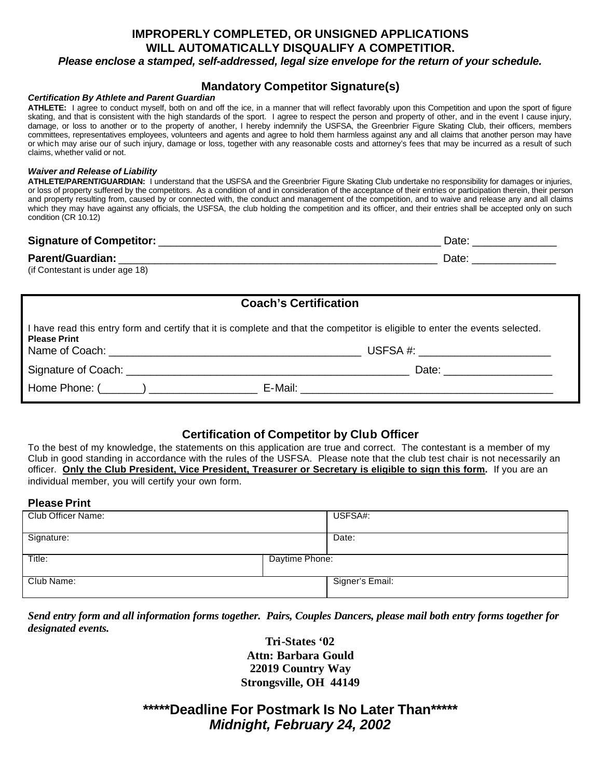## **IMPROPERLY COMPLETED, OR UNSIGNED APPLICATIONS WILL AUTOMATICALLY DISQUALIFY A COMPETITIOR.** *Please enclose a stamped, self-addressed, legal size envelope for the return of your schedule.*

# **Mandatory Competitor Signature(s)**

### *Certification By Athlete and Parent Guardian*

**ATHLETE:** I agree to conduct myself, both on and off the ice, in a manner that will reflect favorably upon this Competition and upon the sport of figure skating, and that is consistent with the high standards of the sport. I agree to respect the person and property of other, and in the event I cause injury, damage, or loss to another or to the property of another, I hereby indemnify the USFSA, the Greenbrier Figure Skating Club, their officers, members committees, representatives employees, volunteers and agents and agree to hold them harmless against any and all claims that another person may have or which may arise our of such injury, damage or loss, together with any reasonable costs and attorney's fees that may be incurred as a result of such claims, whether valid or not.

### *Waiver and Release of Liability*

**ATHLETE/PARENT/GUARDIAN:** I understand that the USFSA and the Greenbrier Figure Skating Club undertake no responsibility for damages or injuries, or loss of property suffered by the competitors. As a condition of and in consideration of the acceptance of their entries or participation therein, their person and property resulting from, caused by or connected with, the conduct and management of the competition, and to waive and release any and all claims which they may have against any officials, the USFSA, the club holding the competition and its officer, and their entries shall be accepted only on such condition (CR 10.12)

| <b>Signature of Competitor:</b> | Date  |
|---------------------------------|-------|
| <b>Parent/Guardian:</b>         | Date: |
| $\mathbf{r}$                    |       |

(if Contestant is under age 18)

| <b>Coach's Certification</b> |                                                                                                                               |  |  |  |  |
|------------------------------|-------------------------------------------------------------------------------------------------------------------------------|--|--|--|--|
| <b>Please Print</b>          | I have read this entry form and certify that it is complete and that the competitor is eligible to enter the events selected. |  |  |  |  |
|                              | USFSA #: __________________________                                                                                           |  |  |  |  |
|                              |                                                                                                                               |  |  |  |  |
|                              |                                                                                                                               |  |  |  |  |

## **Certification of Competitor by Club Officer**

To the best of my knowledge, the statements on this application are true and correct. The contestant is a member of my Club in good standing in accordance with the rules of the USFSA. Please note that the club test chair is not necessarily an officer. **Only the Club President, Vice President, Treasurer or Secretary is eligible to sign this form.** If you are an individual member, you will certify your own form.

### **Please Print**

| Club Officer Name: |                | USFSA#:         |
|--------------------|----------------|-----------------|
| Signature:         |                | Date:           |
| Title:             | Daytime Phone: |                 |
| Club Name:         |                | Signer's Email: |

*Send entry form and all information forms together. Pairs, Couples Dancers, please mail both entry forms together for designated events.* 

> **Tri-States '02 Attn: Barbara Gould 22019 Country Way Strongsville, OH 44149**

**\*\*\*\*\*Deadline For Postmark Is No Later Than\*\*\*\*\*** *Midnight, February 24, 2002*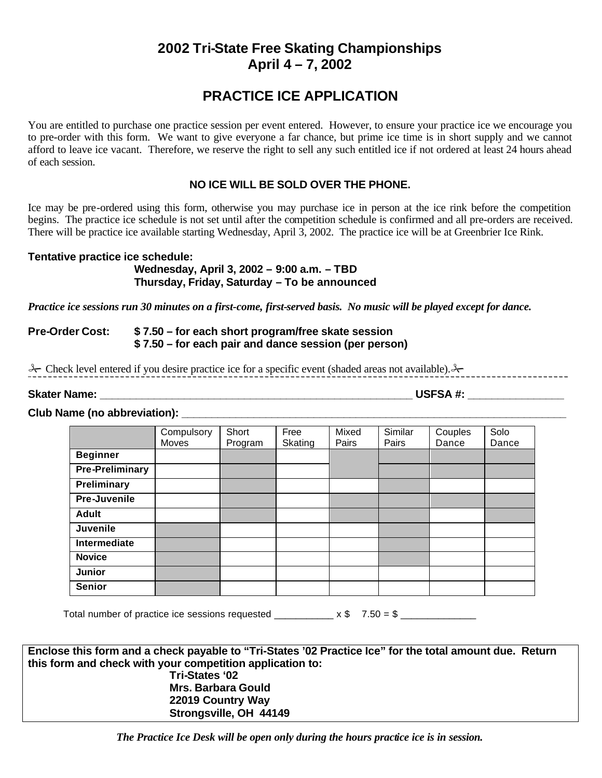# **PRACTICE ICE APPLICATION**

You are entitled to purchase one practice session per event entered. However, to ensure your practice ice we encourage you to pre-order with this form. We want to give everyone a far chance, but prime ice time is in short supply and we cannot afford to leave ice vacant. Therefore, we reserve the right to sell any such entitled ice if not ordered at least 24 hours ahead of each session.

# **NO ICE WILL BE SOLD OVER THE PHONE.**

Ice may be pre-ordered using this form, otherwise you may purchase ice in person at the ice rink before the competition begins. The practice ice schedule is not set until after the competition schedule is confirmed and all pre-orders are received. There will be practice ice available starting Wednesday, April 3, 2002. The practice ice will be at Greenbrier Ice Rink.

## **Tentative practice ice schedule:**

## **Wednesday, April 3, 2002 – 9:00 a.m. – TBD Thursday, Friday, Saturday – To be announced**

*Practice ice sessions run 30 minutes on a first-come, first-served basis. No music will be played except for dance.*

## **Pre-Order Cost: \$ 7.50 – for each short program/free skate session \$ 7.50 – for each pair and dance session (per person)**

& Check level entered if you desire practice ice for a specific event (shaded areas not available). &

**Skater Name: \_\_\_\_\_\_\_\_\_\_\_\_\_\_\_\_\_\_\_\_\_\_\_\_\_\_\_\_\_\_\_\_\_\_\_\_\_\_\_\_\_\_\_\_\_\_\_\_\_\_\_\_ USFSA #: \_\_\_\_\_\_\_\_\_\_\_\_\_\_\_\_**

### Club Name (no abbreviation): **with a set of the set of the set of the set of the set of the set of the set of th**

|                     | Compulsory<br>Moves | Short<br>Program | Free<br>Skating | Mixed<br>Pairs | Similar<br>Pairs | Couples<br>Dance | Solo<br>Dance |
|---------------------|---------------------|------------------|-----------------|----------------|------------------|------------------|---------------|
| <b>Beginner</b>     |                     |                  |                 |                |                  |                  |               |
| Pre-Preliminary     |                     |                  |                 |                |                  |                  |               |
| Preliminary         |                     |                  |                 |                |                  |                  |               |
| Pre-Juvenile        |                     |                  |                 |                |                  |                  |               |
| <b>Adult</b>        |                     |                  |                 |                |                  |                  |               |
| <b>Juvenile</b>     |                     |                  |                 |                |                  |                  |               |
| <b>Intermediate</b> |                     |                  |                 |                |                  |                  |               |
| <b>Novice</b>       |                     |                  |                 |                |                  |                  |               |
| <b>Junior</b>       |                     |                  |                 |                |                  |                  |               |
| <b>Senior</b>       |                     |                  |                 |                |                  |                  |               |

Total number of practice ice sessions requested  $x $ 7.50 = $$ 

**Enclose this form and a check payable to "Tri-States '02 Practice Ice" for the total amount due. Return this form and check with your competition application to: Tri-States '02 Mrs. Barbara Gould 22019 Country Way Strongsville, OH 44149**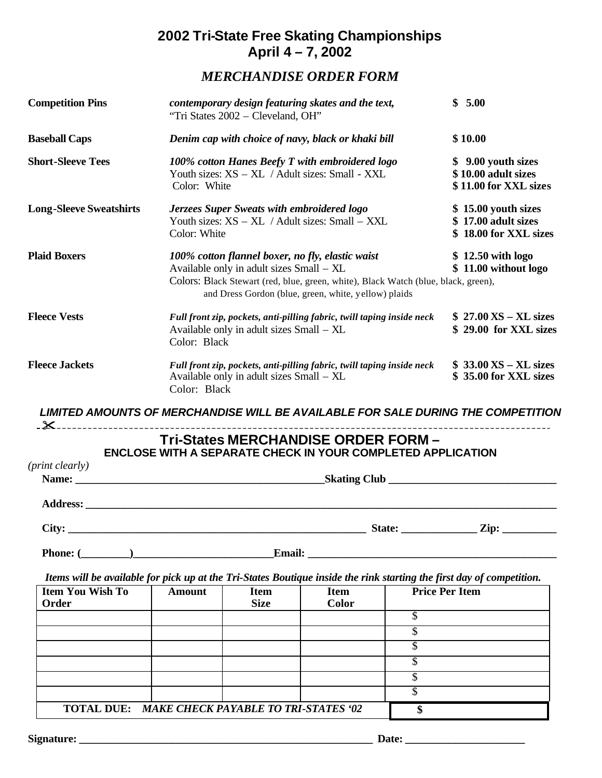# *MERCHANDISE ORDER FORM*

| <b>Competition Pins</b>                                                                                                                                                                                                               |               | contemporary design featuring skates and the text,<br>"Tri States 2002 - Cleveland, OH"                                                                                                                                                    |                                                    |                                                                    |                                                                                  |  |
|---------------------------------------------------------------------------------------------------------------------------------------------------------------------------------------------------------------------------------------|---------------|--------------------------------------------------------------------------------------------------------------------------------------------------------------------------------------------------------------------------------------------|----------------------------------------------------|--------------------------------------------------------------------|----------------------------------------------------------------------------------|--|
| <b>Baseball Caps</b>                                                                                                                                                                                                                  |               |                                                                                                                                                                                                                                            | Denim cap with choice of navy, black or khaki bill |                                                                    | \$10.00                                                                          |  |
| <b>Short-Sleeve Tees</b>                                                                                                                                                                                                              |               | 100% cotton Hanes Beefy T with embroidered logo<br>Youth sizes: XS - XL / Adult sizes: Small - XXL<br>Color: White                                                                                                                         |                                                    |                                                                    |                                                                                  |  |
| <b>Long-Sleeve Sweatshirts</b>                                                                                                                                                                                                        | Color: White  | Jerzees Super Sweats with embroidered logo<br>Youth sizes: XS - XL / Adult sizes: Small - XXL                                                                                                                                              |                                                    |                                                                    |                                                                                  |  |
| <b>Plaid Boxers</b>                                                                                                                                                                                                                   |               | 100% cotton flannel boxer, no fly, elastic waist<br>Available only in adult sizes Small – XL<br>Colors: Black Stewart (red, blue, green, white), Black Watch (blue, black, green),<br>and Dress Gordon (blue, green, white, yellow) plaids |                                                    |                                                                    |                                                                                  |  |
| <b>Fleece Vests</b>                                                                                                                                                                                                                   |               | Full front zip, pockets, anti-pilling fabric, twill taping inside neck<br>Available only in adult sizes Small – XL<br>Color: Black                                                                                                         |                                                    |                                                                    |                                                                                  |  |
| <b>Fleece Jackets</b>                                                                                                                                                                                                                 |               | Full front zip, pockets, anti-pilling fabric, twill taping inside neck<br>Available only in adult sizes Small – XL<br>Color: Black                                                                                                         |                                                    |                                                                    |                                                                                  |  |
| <u> X</u>                                                                                                                                                                                                                             |               |                                                                                                                                                                                                                                            |                                                    |                                                                    | LIMITED AMOUNTS OF MERCHANDISE WILL BE AVAILABLE FOR SALE DURING THE COMPETITION |  |
|                                                                                                                                                                                                                                       |               |                                                                                                                                                                                                                                            |                                                    | Tri-States MERCHANDISE ORDER FORM-                                 |                                                                                  |  |
|                                                                                                                                                                                                                                       |               |                                                                                                                                                                                                                                            |                                                    | <b>ENCLOSE WITH A SEPARATE CHECK IN YOUR COMPLETED APPLICATION</b> |                                                                                  |  |
| ( <i>print clearly</i> )                                                                                                                                                                                                              |               |                                                                                                                                                                                                                                            |                                                    |                                                                    |                                                                                  |  |
|                                                                                                                                                                                                                                       |               |                                                                                                                                                                                                                                            |                                                    |                                                                    |                                                                                  |  |
| <b>Address:</b>                                                                                                                                                                                                                       |               |                                                                                                                                                                                                                                            |                                                    |                                                                    |                                                                                  |  |
| City:<br><u> 1989 - Johann Stoff, amerikansk politiker (* 1908)</u>                                                                                                                                                                   |               |                                                                                                                                                                                                                                            |                                                    |                                                                    |                                                                                  |  |
| Phone: ( <u>New York: Email: Email: Email: New York: New York: New York: New York: New York: New York: New York: New York: New York: New York: New York: New York: New York: New York: New York: New York: New York: New York: Ne</u> |               |                                                                                                                                                                                                                                            |                                                    |                                                                    |                                                                                  |  |
|                                                                                                                                                                                                                                       |               |                                                                                                                                                                                                                                            |                                                    |                                                                    |                                                                                  |  |
| Items will be available for pick up at the Tri-States Boutique inside the rink starting the first day of competition.                                                                                                                 |               |                                                                                                                                                                                                                                            |                                                    |                                                                    | <b>Price Per Item</b>                                                            |  |
| <b>Item You Wish To</b><br>Order                                                                                                                                                                                                      | <b>Amount</b> | <b>Item</b><br><b>Size</b>                                                                                                                                                                                                                 | <b>Item</b><br><b>Color</b>                        |                                                                    |                                                                                  |  |
|                                                                                                                                                                                                                                       |               |                                                                                                                                                                                                                                            |                                                    | $\overline{\mathcal{S}}$                                           |                                                                                  |  |
|                                                                                                                                                                                                                                       |               |                                                                                                                                                                                                                                            |                                                    | $\overline{\mathbb{S}}$                                            |                                                                                  |  |
|                                                                                                                                                                                                                                       |               |                                                                                                                                                                                                                                            |                                                    | $\overline{\mathcal{S}}$                                           |                                                                                  |  |
|                                                                                                                                                                                                                                       |               |                                                                                                                                                                                                                                            |                                                    |                                                                    |                                                                                  |  |
|                                                                                                                                                                                                                                       |               |                                                                                                                                                                                                                                            |                                                    | $\overline{\mathcal{S}}$                                           |                                                                                  |  |

**TOTAL DUE:** *MAKE CHECK PAYABLE TO TRI-STATES '02* **\$**

\$ \$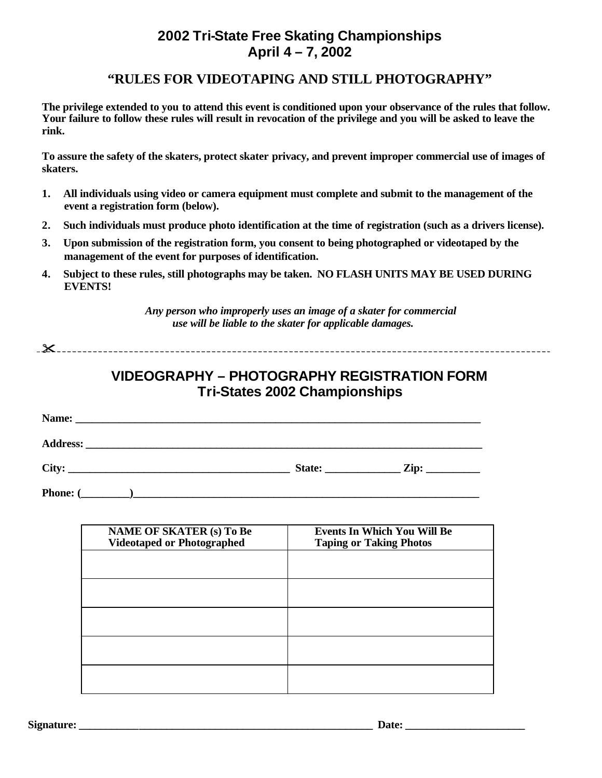# **"RULES FOR VIDEOTAPING AND STILL PHOTOGRAPHY"**

**The privilege extended to you to attend this event is conditioned upon your observance of the rules that follow. Your failure to follow these rules will result in revocation of the privilege and you will be asked to leave the rink.**

**To assure the safety of the skaters, protect skater privacy, and prevent improper commercial use of images of skaters.**

- **1. All individuals using video or camera equipment must complete and submit to the management of the event a registration form (below).**
- **2. Such individuals must produce photo identification at the time of registration (such as a drivers license).**
- **3. Upon submission of the registration form, you consent to being photographed or videotaped by the management of the event for purposes of identification.**
- **4. Subject to these rules, still photographs may be taken. NO FLASH UNITS MAY BE USED DURING EVENTS!**

*Any person who improperly uses an image of a skater for commercial use will be liable to the skater for applicable damages.*

**"**

# **VIDEOGRAPHY – PHOTOGRAPHY REGISTRATION FORM Tri-States 2002 Championships**

| Name:<br><u> 1989 - Johann Harry Harry Harry Harry Harry Harry Harry Harry Harry Harry Harry Harry Harry Harry Harry Harry</u> |        |                               |
|--------------------------------------------------------------------------------------------------------------------------------|--------|-------------------------------|
|                                                                                                                                |        |                               |
| City:                                                                                                                          | State: | $\mathbf{Zip:} \_\_\_\_\_\_\$ |
| <b>Phone:</b> (                                                                                                                |        |                               |

| <b>NAME OF SKATER (s) To Be</b><br><b>Videotaped or Photographed</b> | <b>Events In Which You Will Be</b><br><b>Taping or Taking Photos</b> |
|----------------------------------------------------------------------|----------------------------------------------------------------------|
|                                                                      |                                                                      |
|                                                                      |                                                                      |
|                                                                      |                                                                      |
|                                                                      |                                                                      |
|                                                                      |                                                                      |

**Signature:**  $\qquad \qquad$  Date: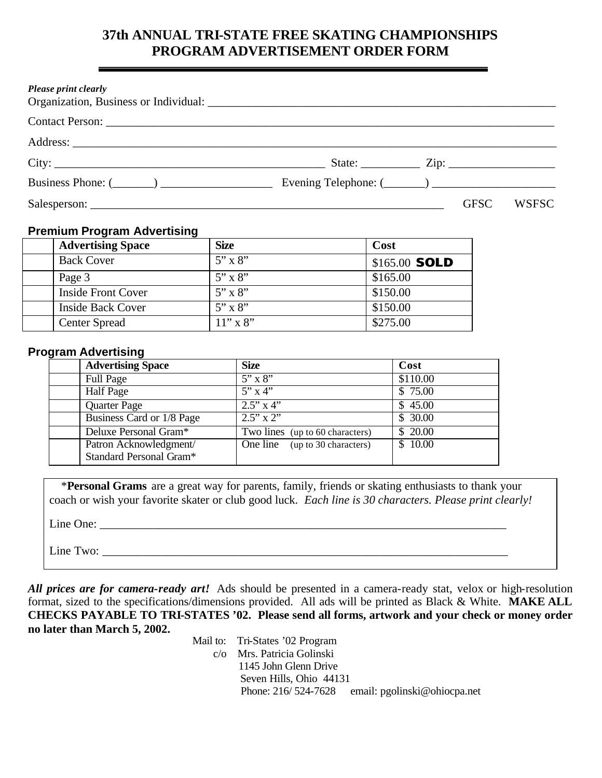# **37th ANNUAL TRI-STATE FREE SKATING CHAMPIONSHIPS PROGRAM ADVERTISEMENT ORDER FORM**

| Please print clearly |  |             |              |
|----------------------|--|-------------|--------------|
| Contact Person:      |  |             |              |
|                      |  |             |              |
|                      |  |             |              |
|                      |  |             |              |
|                      |  | <b>GFSC</b> | <b>WSFSC</b> |

## **Premium Program Advertising**

| <b>Advertising Space</b>  | <b>Size</b>    | Cost                 |
|---------------------------|----------------|----------------------|
| <b>Back Cover</b>         | $5" \times 8"$ | \$165.00 <b>SOLD</b> |
| Page 3                    | $5" \times 8"$ | \$165.00             |
| <b>Inside Front Cover</b> | $5" \times 8"$ | \$150.00             |
| <b>Inside Back Cover</b>  | $5" \times 8"$ | \$150.00             |
| <b>Center Spread</b>      | $11''$ x 8"    | \$275.00             |

## **Program Advertising**

| <b>Advertising Space</b>  | <b>Size</b>                     | Cost     |
|---------------------------|---------------------------------|----------|
| <b>Full Page</b>          | $5'' \times 8''$                | \$110.00 |
| <b>Half</b> Page          | $5''$ x 4"                      | \$75.00  |
| Quarter Page              | $2.5''$ x 4"                    | \$45.00  |
| Business Card or 1/8 Page | $2.5'' \times 2''$              | \$30.00  |
| Deluxe Personal Gram*     | Two lines (up to 60 characters) | \$20.00  |
| Patron Acknowledgment/    | One line (up to 30 characters)  | \$10.00  |
| Standard Personal Gram*   |                                 |          |

 \***Personal Grams** are a great way for parents, family, friends or skating enthusiasts to thank your coach or wish your favorite skater or club good luck. *Each line is 30 characters. Please print clearly!*

Line One: \_\_\_\_\_\_\_\_\_\_\_\_\_\_\_\_\_\_\_\_\_\_\_\_\_\_\_\_\_\_\_\_\_\_\_\_\_\_\_\_\_\_\_\_\_\_\_\_\_\_\_\_\_\_\_\_\_\_\_\_\_\_\_\_\_\_\_\_\_

Line Two:

*All prices are for camera-ready art!* Ads should be presented in a camera-ready stat, velox or high-resolution format, sized to the specifications/dimensions provided. All ads will be printed as Black & White. **MAKE ALL CHECKS PAYABLE TO TRI-STATES '02. Please send all forms, artwork and your check or money order no later than March 5, 2002.**

> Mail to: Tri-States '02 Program c/o Mrs. Patricia Golinski 1145 John Glenn Drive Seven Hills, Ohio 44131 Phone: 216/524-7628 email: pgolinski@ohiocpa.net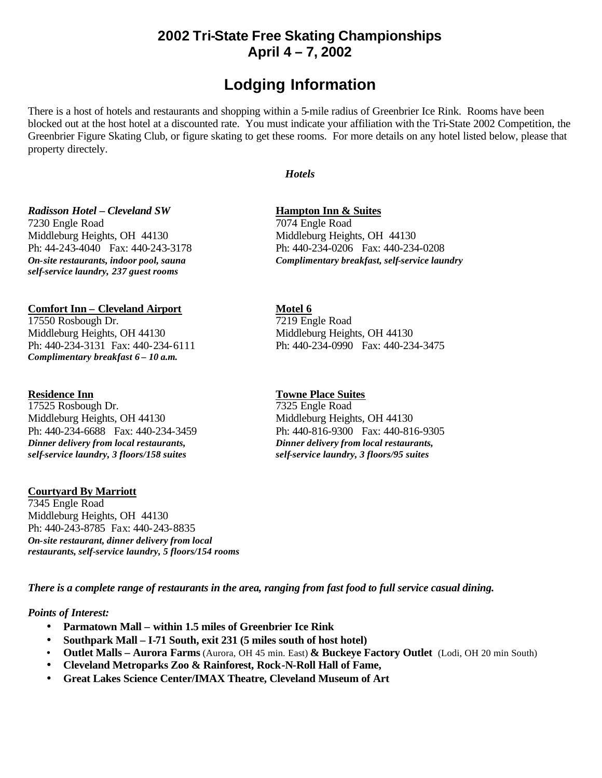# **Lodging Information**

There is a host of hotels and restaurants and shopping within a 5-mile radius of Greenbrier Ice Rink. Rooms have been blocked out at the host hotel at a discounted rate. You must indicate your affiliation with the Tri-State 2002 Competition, the Greenbrier Figure Skating Club, or figure skating to get these rooms. For more details on any hotel listed below, please that property directely.

### *Hotels*

# *Radisson Hotel – Cleveland SW* **Hampton Inn & Suites** 7230 Engle Road 7074 Engle Road

*On-site restaurants, indoor pool, sauna Complimentary breakfast, self-service laundry self-service laundry, 237 guest rooms*

# **Comfort Inn – Cleveland Airport**<br>
17550 Rosbough Dr. 219 Engle Road

17550 Rosbough Dr. Middleburg Heights, OH 44130 Middleburg Heights, OH 44130 *Complimentary breakfast 6 – 10 a.m.*

**Residence Inn**<br>17525 Rosbough Dr. 27325 Engle Road 17525 Rosbough Dr. Middleburg Heights, OH 44130 Middleburg Heights, OH 44130 Ph: 440-234-6688 Fax: 440-234-3459 Ph: 440-816-9300 Fax: 440-816-9305 *Dinner delivery from local restaurants, Dinner delivery from local restaurants, self-service laundry, 3 floors/158 suites self-service laundry, 3 floors/95 suites*

### **Courtyard By Marriott**

7345 Engle Road Middleburg Heights, OH 44130 Ph: 440-243-8785 Fax: 440-243-8835 *On-site restaurant, dinner delivery from local restaurants, self-service laundry, 5 floors/154 rooms*

Middleburg Heights, OH 44130 Middleburg Heights, OH 44130 Ph: 44-243-4040 Fax: 440-243-3178 Ph: 440-234-0206 Fax: 440-234-0208

Ph: 440-234-3131 Fax: 440-234-6111 Ph: 440-234-0990 Fax: 440-234-3475

*There is a complete range of restaurants in the area, ranging from fast food to full service casual dining.* 

### *Points of Interest:*

- **Parmatown Mall within 1.5 miles of Greenbrier Ice Rink**
- **Southpark Mall I-71 South, exit 231 (5 miles south of host hotel)**
- **Outlet Malls Aurora Farms** (Aurora, OH 45 min. East) **& Buckeye Factory Outlet** (Lodi, OH 20 min South)
- **Cleveland Metroparks Zoo & Rainforest, Rock-N-Roll Hall of Fame,**
- **Great Lakes Science Center/IMAX Theatre, Cleveland Museum of Art**